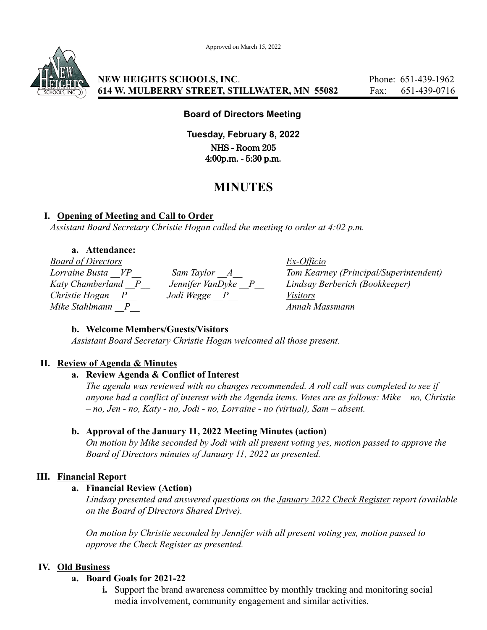Approved on March 15, 2022



**NEW HEIGHTS SCHOOLS, INC.** Phone: 651-439-1962 **614 W. MULBERRY STREET, STILLWATER, MN 55082** Fax: 651-439-0716

### **Board of Directors Meeting**

**Tuesday, February 8, 2022** NHS - Room 205 4:00p.m. - 5:30 p.m.

# **MINUTES**

### **I. Opening of Meeting and Call to Order**

*Assistant Board Secretary Christie Hogan called the meeting to order at 4:02 p.m.*

### **a. Attendance:**

*Board of Directors Ex-Officio Christie Hogan \_\_P\_\_ Jodi Wegge \_\_P\_\_ Visitors Mike Stahlmann \_\_P\_\_ Annah Massmann*

*Lorraine Busta \_\_VP\_\_ Sam Taylor \_\_A\_\_ Tom Kearney (Principal/Superintendent) Katy Chamberland \_\_P\_\_ Jennifer VanDyke \_\_P\_\_ Lindsay Berberich (Bookkeeper)*

### **b. Welcome Members/Guests/Visitors**

*Assistant Board Secretary Christie Hogan welcomed all those present.*

### **II. Review of Agenda & Minutes**

#### **a. Review Agenda & Conflict of Interest**

*The agenda was reviewed with no changes recommended. A roll call was completed to see if anyone had a conflict of interest with the Agenda items. Votes are as follows: Mike – no, Christie – no, Jen - no, Katy - no, Jodi - no, Lorraine - no (virtual), Sam – absent.*

### **b. Approval of the January 11, 2022 Meeting Minutes (action)**

*On motion by Mike seconded by Jodi with all present voting yes, motion passed to approve the Board of Directors minutes of January 11, 2022 as presented.*

### **III. Financial Report**

### **a. Financial Review (Action)**

*Lindsay presented and answered questions on the January 2022 Check Register report (available on the Board of Directors Shared Drive).*

*On motion by Christie seconded by Jennifer with all present voting yes, motion passed to approve the Check Register as presented.*

### **IV. Old Business**

#### **a. Board Goals for 2021-22**

**i.** Support the brand awareness committee by monthly tracking and monitoring social media involvement, community engagement and similar activities.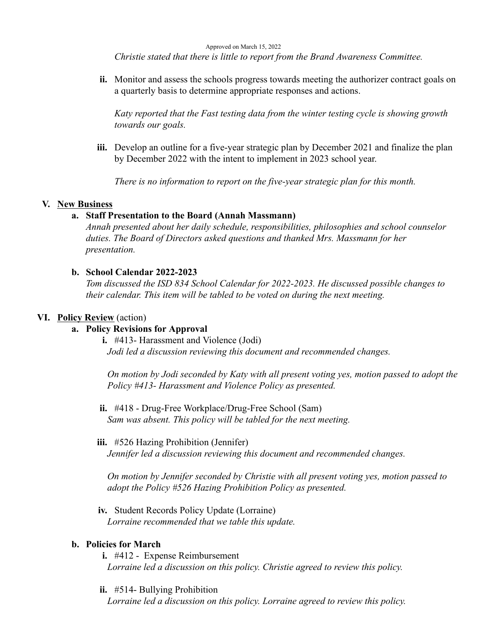Approved on March 15, 2022

*Christie stated that there is little to report from the Brand Awareness Committee.*

**ii.** Monitor and assess the schools progress towards meeting the authorizer contract goals on a quarterly basis to determine appropriate responses and actions.

*Katy reported that the Fast testing data from the winter testing cycle is showing growth towards our goals.*

**iii.** Develop an outline for a five-year strategic plan by December 2021 and finalize the plan by December 2022 with the intent to implement in 2023 school year.

*There is no information to report on the five-year strategic plan for this month.*

#### **V. New Business**

#### **a. Staff Presentation to the Board (Annah Massmann)**

*Annah presented about her daily schedule, responsibilities, philosophies and school counselor duties. The Board of Directors asked questions and thanked Mrs. Massmann for her presentation.*

#### **b. School Calendar 2022-2023**

*Tom discussed the ISD 834 School Calendar for 2022-2023. He discussed possible changes to their calendar. This item will be tabled to be voted on during the next meeting.*

#### **VI. Policy Review** (action)

### **a. Policy Revisions for Approval**

**i.** #413- Harassment and Violence (Jodi) *Jodi led a discussion reviewing this document and recommended changes.*

*On motion by Jodi seconded by Katy with all present voting yes, motion passed to adopt the Policy #413- Harassment and Violence Policy as presented.*

**ii.** #418 - Drug-Free Workplace/Drug-Free School (Sam) *Sam was absent. This policy will be tabled for the next meeting.*

#### **iii.** #526 Hazing Prohibition (Jennifer)

*Jennifer led a discussion reviewing this document and recommended changes.*

*On motion by Jennifer seconded by Christie with all present voting yes, motion passed to adopt the Policy #526 Hazing Prohibition Policy as presented.*

**iv.** Student Records Policy Update (Lorraine) *Lorraine recommended that we table this update.*

### **b. Policies for March**

- **i.** #412 Expense Reimbursement *Lorraine led a discussion on this policy. Christie agreed to review this policy.*
- **ii.** #514- Bullying Prohibition

*Lorraine led a discussion on this policy. Lorraine agreed to review this policy.*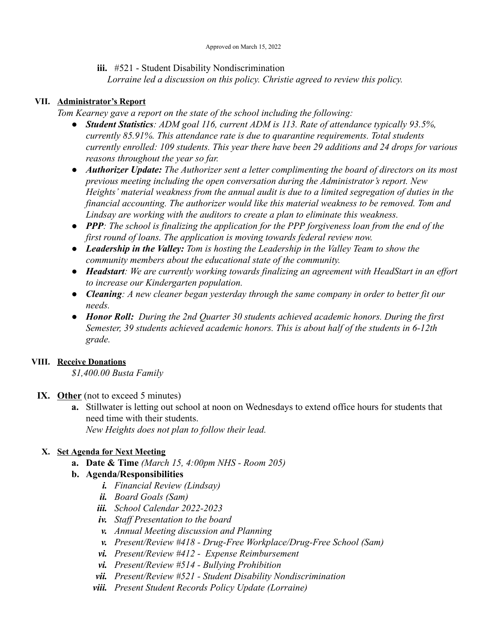**iii.** #521 - Student Disability Nondiscrimination

*Lorraine led a discussion on this policy. Christie agreed to review this policy.*

### **VII. Administrator's Report**

*Tom Kearney gave a report on the state of the school including the following:*

- *● Student Statistics: ADM goal 116, current ADM is 113. Rate of attendance typically 93.5%, currently 85.91%. This attendance rate is due to quarantine requirements. Total students currently enrolled: 109 students. This year there have been 29 additions and 24 drops for various reasons throughout the year so far.*
- *● Authorizer Update: The Authorizer sent a letter complimenting the board of directors on its most previous meeting including the open conversation during the Administrator's report. New Heights' material weakness from the annual audit is due to a limited segregation of duties in the financial accounting. The authorizer would like this material weakness to be removed. Tom and Lindsay are working with the auditors to create a plan to eliminate this weakness.*
- *● PPP: The school is finalizing the application for the PPP forgiveness loan from the end of the first round of loans. The application is moving towards federal review now.*
- *● Leadership in the Valley: Tom is hosting the Leadership in the Valley Team to show the community members about the educational state of the community.*
- *● Headstart: We are currently working towards finalizing an agreement with HeadStart in an effort to increase our Kindergarten population.*
- *● Cleaning: A new cleaner began yesterday through the same company in order to better fit our needs.*
- *● Honor Roll: During the 2nd Quarter 30 students achieved academic honors. During the first Semester, 39 students achieved academic honors. This is about half of the students in 6-12th grade.*

### **VIII. Receive Donations**

*\$1,400.00 Busta Family*

### **IX. Other** (not to exceed 5 minutes)

**a.** Stillwater is letting out school at noon on Wednesdays to extend office hours for students that need time with their students. *New Heights does not plan to follow their lead.*

### **X. Set Agenda for Next Meeting**

**a. Date & Time** *(March 15, 4:00pm NHS - Room 205)*

## **b. Agenda/Responsibilities**

- *i. Financial Review (Lindsay)*
- *ii. Board Goals (Sam)*
- *iii. School Calendar 2022-2023*
- *iv. Staff Presentation to the board*
- *v. Annual Meeting discussion and Planning*
- *v. Present/Review #418 Drug-Free Workplace/Drug-Free School (Sam)*
- *vi. Present/Review #412 Expense Reimbursement*
- *vi. Present/Review #514 Bullying Prohibition*
- *vii. Present/Review #521 Student Disability Nondiscrimination*
- *viii. Present Student Records Policy Update (Lorraine)*